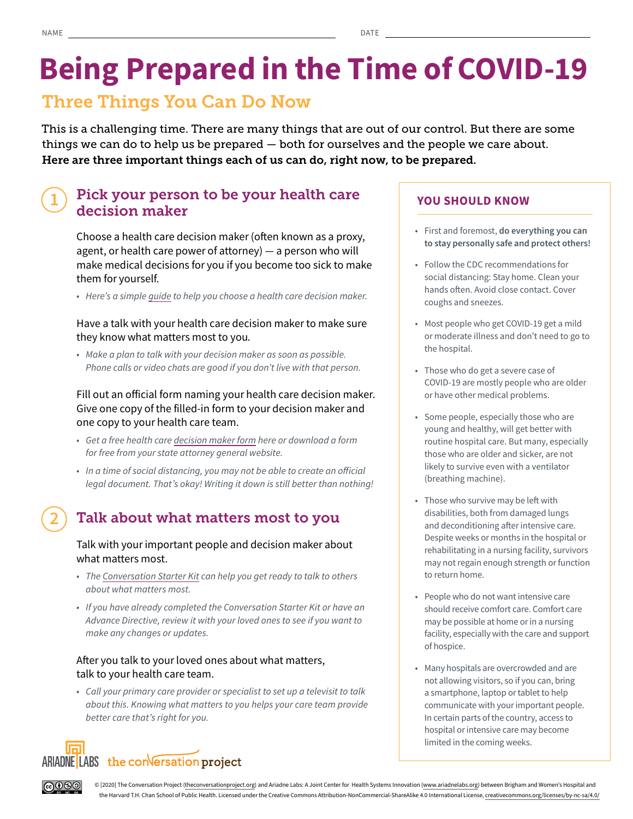# Being Prepared in the Time of COVID-19

# Three Things You Can Do Now

This is a challenging time. There are many things that are out of our control. But there are some things we can do to help us be prepared — both for ourselves and the people we care about. Here are three important things each of us can do, right now, to be prepared.

#### 1 Pick your person to be your health care decision maker

Choose a health care decision maker (often known as a proxy, agent, or health care power of attorney)  $-$  a person who will make medical decisions for you if you become too sick to make them for yourself.

*• Here's a simple [guide](https://theconversationproject.org/wp-content/uploads/2017/03/ConversationProject-ProxyKit-English.pdf) to help you choose a health care decision maker.* 

## Have a talk with your health care decision maker to make sure they know what matters most to you.

*• Make a plan to talk with your decision maker as soon as possible. Phone calls or video chats are good if you don't live with that person.* 

Fill out an official form naming your health care decision maker. Give one copy of the filled-in form to your decision maker and one copy to your health care team.

- *Get a free health care [decision maker form](https://www.nhpco.org/patients-and-caregivers/advance-care-planning/advance-directives/downloading-your-states-advance-directive/) here or download a form for free from your state attorney general website.*
- *In a time of social distancing, you may not be able to create an oficial legal document. That's okay! Writing it down is still better than nothing!*

#### 2 Talk about what matters most to you

### Talk with your important people and decision maker about what matters most.

- *The [Conversation Starter Kit](https://theconversationproject.org/wp-content/uploads/2017/02/ConversationProject-ConvoStarterKit-English.pdf) can help you get ready to talk to others about what matters most.*
- *If you have already completed the Conversation Starter Kit or have an Advance Directive, review it with your loved ones to see if you want to make any changes or updates.*

# After you talk to your loved ones about what matters, talk to your health care team.

*• Call your primary care provider or specialist to set up a televisit to talk about this. Knowing what matters to you helps your care team provide better care that's right for you.* 



**@0®** 

# YOU SHOULD KNOW

- First and foremost, do everything you can to stay personally safe and protect others!
- Follow the CDC recommendations for social distancing: Stay home. Clean your hands often. Avoid close contact. Cover coughs and sneezes.
- Most people who get COVID-19 get a mild or moderate illness and don't need to go to the hospital.
- Those who do get a severe case of COVID-19 are mostly people who are older or have other medical problems.
- Some people, especially those who are young and healthy, will get better with routine hospital care. But many, especially those who are older and sicker, are not likely to survive even with a ventilator (breathing machine).
- Those who survive may be left with disabilities, both from damaged lungs and deconditioning after intensive care. Despite weeks or months in the hospital or rehabilitating in a nursing facility, survivors may not regain enough strength or function to return home.
- People who do not want intensive care should receive comfort care. Comfort care may be possible at home or in a nursing facility, especially with the care and support of hospice.
- Many hospitals are overcrowded and are not allowing visitors, so if you can, bring a smartphone, laptop or tablet to help communicate with your important people. In certain parts of the country, access to hospital or intensive care may become limited in the coming weeks.